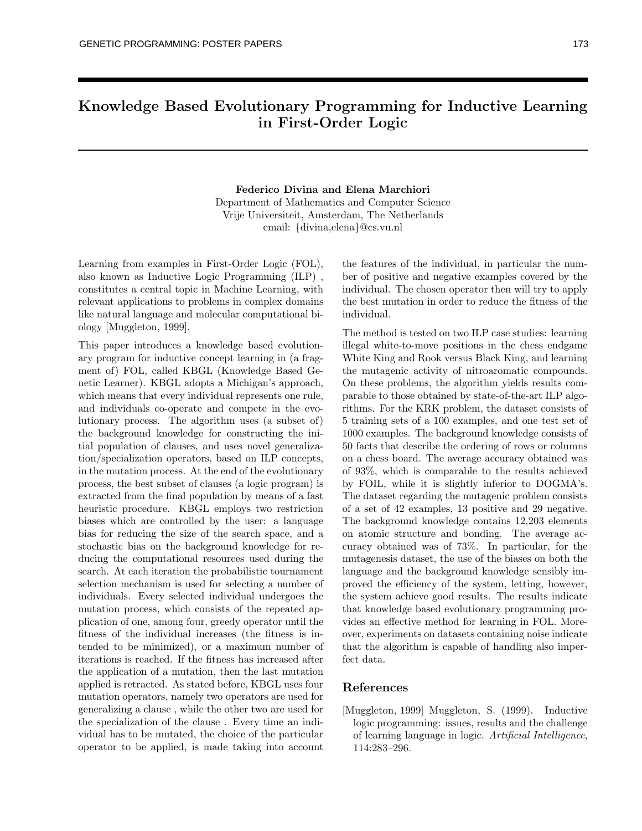## Knowledge Based Evolutionary Programming for Inductive Learning in First-Order Logic

#### Federico Divina and Elena Marchiori Department of Mathematics and Computer Science Vrije Universiteit, Amsterdam, The Netherlands email: {divina,elena}@cs.vu.nl

Learning from examples in First-Order Logic (FOL), also known as Inductive Logic Programming (ILP) , constitutes a central topic in Machine Learning, with relevant applications to problems in complex domains like natural language and molecular computational biology [Muggleton, 1999].

This paper introduces a knowledge based evolutionary program for inductive concept learning in (a fragment of) FOL, called KBGL (Knowledge Based Genetic Learner). KBGL adopts a Michigan's approach, which means that every individual represents one rule, and individuals co-operate and compete in the evolutionary process. The algorithm uses (a subset of) the background knowledge for constructing the initial population of clauses, and uses novel generalization/specialization operators, based on ILP concepts, in the mutation process. At the end of the evolutionary process, the best subset of clauses (a logic program) is extracted from the final population by means of a fast heuristic procedure. KBGL employs two restriction biases which are controlled by the user: a language bias for reducing the size of the search space, and a stochastic bias on the background knowledge for reducing the computational resources used during the search. At each iteration the probabilistic tournament selection mechanism is used for selecting a number of individuals. Every selected individual undergoes the mutation process, which consists of the repeated application of one, among four, greedy operator until the fitness of the individual increases (the fitness is intended to be minimized), or a maximum number of iterations is reached. If the fitness has increased after the application of a mutation, then the last mutation applied is retracted. As stated before, KBGL uses four mutation operators, namely two operators are used for generalizing a clause , while the other two are used for the specialization of the clause . Every time an individual has to be mutated, the choice of the particular operator to be applied, is made taking into account

the features of the individual, in particular the number of positive and negative examples covered by the individual. The chosen operator then will try to apply the best mutation in order to reduce the fitness of the individual.

The method is tested on two ILP case studies: learning illegal white-to-move positions in the chess endgame White King and Rook versus Black King, and learning the mutagenic activity of nitroaromatic compounds. On these problems, the algorithm yields results comparable to those obtained by state-of-the-art ILP algorithms. For the KRK problem, the dataset consists of 5 training sets of a 100 examples, and one test set of 1000 examples. The background knowledge consists of 50 facts that describe the ordering of rows or columns on a chess board. The average accuracy obtained was of 93%, which is comparable to the results achieved by FOIL, while it is slightly inferior to DOGMA's. The dataset regarding the mutagenic problem consists of a set of 42 examples, 13 positive and 29 negative. The background knowledge contains 12,203 elements on atomic structure and bonding. The average accuracy obtained was of 73%. In particular, for the mutagenesis dataset, the use of the biases on both the language and the background knowledge sensibly improved the efficiency of the system, letting, however, the system achieve good results. The results indicate that knowledge based evolutionary programming provides an effective method for learning in FOL. Moreover, experiments on datasets containing noise indicate that the algorithm is capable of handling also imperfect data.

#### References

[Muggleton, 1999] Muggleton, S. (1999). Inductive logic programming: issues, results and the challenge of learning language in logic. Artificial Intelligence, 114:283–296.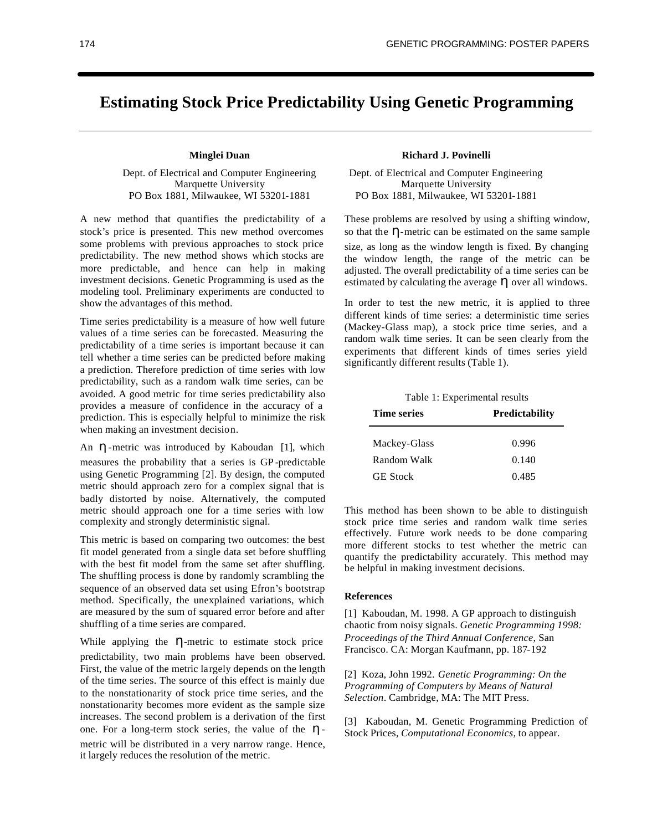## **Estimating Stock Price Predictability Using Genetic Programming**

#### **Minglei Duan**

Dept. of Electrical and Computer Engineering Marquette University PO Box 1881, Milwaukee, WI 53201-1881

A new method that quantifies the predictability of a stock's price is presented. This new method overcomes some problems with previous approaches to stock price predictability. The new method shows which stocks are more predictable, and hence can help in making investment decisions. Genetic Programming is used as the modeling tool. Preliminary experiments are conducted to show the advantages of this method.

Time series predictability is a measure of how well future values of a time series can be forecasted. Measuring the predictability of a time series is important because it can tell whether a time series can be predicted before making a prediction. Therefore prediction of time series with low predictability, such as a random walk time series, can be avoided. A good metric for time series predictability also provides a measure of confidence in the accuracy of a prediction. This is especially helpful to minimize the risk when making an investment decision.

An *h*-metric was introduced by Kaboudan [1], which measures the probability that a series is GP -predictable using Genetic Programming [2]. By design, the computed metric should approach zero for a complex signal that is badly distorted by noise. Alternatively, the computed metric should approach one for a time series with low complexity and strongly deterministic signal.

This metric is based on comparing two outcomes: the best fit model generated from a single data set before shuffling with the best fit model from the same set after shuffling. The shuffling process is done by randomly scrambling the sequence of an observed data set using Efron's bootstrap method. Specifically, the unexplained variations, which are measured by the sum of squared error before and after shuffling of a time series are compared.

While applying the *h*-metric to estimate stock price predictability, two main problems have been observed. First, the value of the metric largely depends on the length of the time series. The source of this effect is mainly due to the nonstationarity of stock price time series, and the nonstationarity becomes more evident as the sample size increases. The second problem is a derivation of the first one. For a long-term stock series, the value of the *h* metric will be distributed in a very narrow range. Hence, it largely reduces the resolution of the metric.

#### **Richard J. Povinelli**

Dept. of Electrical and Computer Engineering Marquette University PO Box 1881, Milwaukee, WI 53201-1881

These problems are resolved by using a shifting window, so that the *h*-metric can be estimated on the same sample

size, as long as the window length is fixed. By changing the window length, the range of the metric can be adjusted. The overall predictability of a time series can be estimated by calculating the average *h* over all windows.

In order to test the new metric, it is applied to three different kinds of time series: a deterministic time series (Mackey-Glass map), a stock price time series, and a random walk time series. It can be seen clearly from the experiments that different kinds of times series yield significantly different results (Table 1).

Table 1: Experimental results

| <b>Time series</b> | <b>Predictability</b> |  |  |
|--------------------|-----------------------|--|--|
| Mackey-Glass       | 0.996                 |  |  |
| Random Walk        | 0.140                 |  |  |
| <b>GE</b> Stock    | 0.485                 |  |  |

This method has been shown to be able to distinguish stock price time series and random walk time series effectively. Future work needs to be done comparing more different stocks to test whether the metric can quantify the predictability accurately. This method may be helpful in making investment decisions.

#### **References**

[1] Kaboudan, M. 1998. A GP approach to distinguish chaotic from noisy signals. *Genetic Programming 1998: Proceedings of the Third Annual Conference*, San Francisco. CA: Morgan Kaufmann, pp. 187-192

[2] Koza, John 1992. *Genetic Programming: On the Programming of Computers by Means of Natural Selection*. Cambridge, MA: The MIT Press.

[3] Kaboudan, M. Genetic Programming Prediction of Stock Prices, *Computational Economics,* to appear.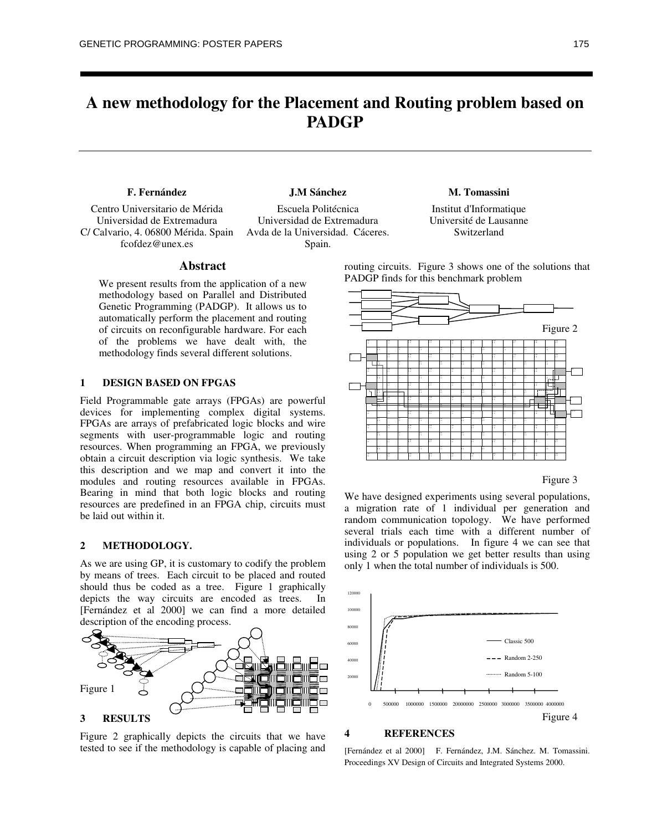# **A new methodology for the Placement and Routing problem based on PADGP**

#### **F. Fernández**

Centro Universitario de Mérida Universidad de Extremadura C/ Calvario, 4. 06800 Mérida. Spain fcofdez@unex.es

#### **Abstract**

We present results from the application of a new methodology based on Parallel and Distributed Genetic Programming (PADGP). It allows us to automatically perform the placement and routing of circuits on reconfigurable hardware. For each of the problems we have dealt with, the methodology finds several different solutions.

#### **1 DESIGN BASED ON FPGAS**

Field Programmable gate arrays (FPGAs) are powerful devices for implementing complex digital systems. FPGAs are arrays of prefabricated logic blocks and wire segments with user-programmable logic and routing resources. When programming an FPGA, we previously obtain a circuit description via logic synthesis. We take this description and we map and convert it into the modules and routing resources available in FPGAs. Bearing in mind that both logic blocks and routing resources are predefined in an FPGA chip, circuits must be laid out within it.

#### **2 METHODOLOGY.**

As we are using GP, it is customary to codify the problem by means of trees. Each circuit to be placed and routed should thus be coded as a tree. Figure 1 graphically depicts the way circuits are encoded as trees. In [Fernández et al 2000] we can find a more detailed description of the encoding process.



Figure 2 graphically depicts the circuits that we have tested to see if the methodology is capable of placing and

#### **J.M Sánchez**

Escuela Politécnica Universidad de Extremadura Avda de la Universidad. Cáceres. Spain.

#### **M. Tomassini**

Institut d'Informatique Université de Lausanne Switzerland

routing circuits. Figure 3 shows one of the solutions that PADGP finds for this benchmark problem



Figure 3

We have designed experiments using several populations, a migration rate of 1 individual per generation and random communication topology. We have performed several trials each time with a different number of individuals or populations. In figure 4 we can see that using 2 or 5 population we get better results than using only 1 when the total number of individuals is 500.



#### **4 REFERENCES**

[Fernández et al 2000] F. Fernández, J.M. Sánchez. M. Tomassini. Proceedings XV Design of Circuits and Integrated Systems 2000.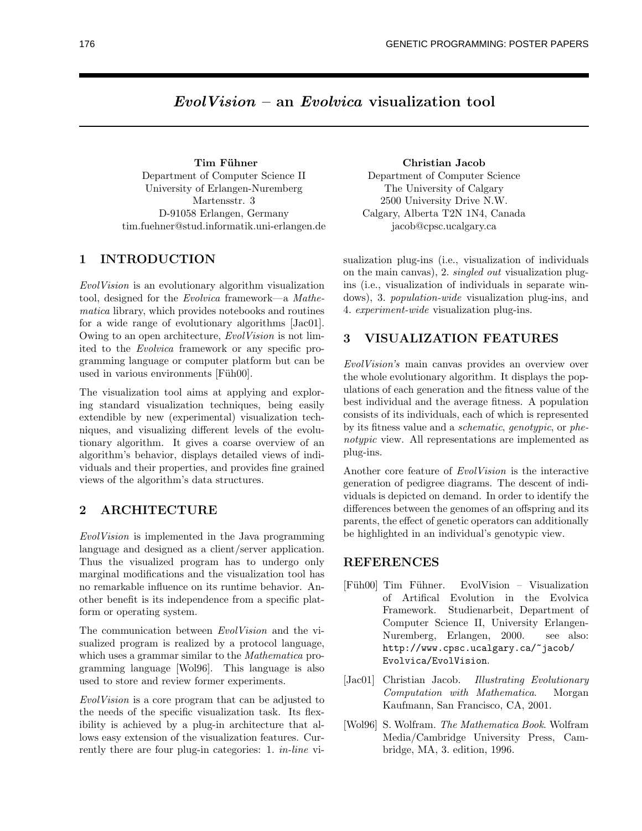## $Evol Vision$  – an *Evolvica* visualization tool

Tim Fühner Department of Computer Science II University of Erlangen-Nuremberg Martensstr. 3 D-91058 Erlangen, Germany tim.fuehner@stud.informatik.uni-erlangen.de

## 1 INTRODUCTION

EvolVision is an evolutionary algorithm visualization tool, designed for the Evolvica framework—a Mathematica library, which provides notebooks and routines for a wide range of evolutionary algorithms [Jac01]. Owing to an open architecture, EvolVision is not limited to the Evolvica framework or any specific programming language or computer platform but can be used in various environments [Füh00].

The visualization tool aims at applying and exploring standard visualization techniques, being easily extendible by new (experimental) visualization techniques, and visualizing different levels of the evolutionary algorithm. It gives a coarse overview of an algorithm's behavior, displays detailed views of individuals and their properties, and provides fine grained views of the algorithm's data structures.

#### 2 ARCHITECTURE

EvolVision is implemented in the Java programming language and designed as a client/server application. Thus the visualized program has to undergo only marginal modifications and the visualization tool has no remarkable influence on its runtime behavior. Another benefit is its independence from a specific platform or operating system.

The communication between EvolVision and the visualized program is realized by a protocol language, which uses a grammar similar to the *Mathematica* programming language [Wol96]. This language is also used to store and review former experiments.

EvolVision is a core program that can be adjusted to the needs of the specific visualization task. Its flexibility is achieved by a plug-in architecture that allows easy extension of the visualization features. Currently there are four plug-in categories: 1. in-line vi-

Christian Jacob Department of Computer Science The University of Calgary 2500 University Drive N.W. Calgary, Alberta T2N 1N4, Canada jacob@cpsc.ucalgary.ca

sualization plug-ins (i.e., visualization of individuals on the main canvas), 2. singled out visualization plugins (i.e., visualization of individuals in separate windows), 3. population-wide visualization plug-ins, and 4. experiment-wide visualization plug-ins.

#### 3 VISUALIZATION FEATURES

EvolVision's main canvas provides an overview over the whole evolutionary algorithm. It displays the populations of each generation and the fitness value of the best individual and the average fitness. A population consists of its individuals, each of which is represented by its fitness value and a schematic, genotypic, or phenotypic view. All representations are implemented as plug-ins.

Another core feature of EvolVision is the interactive generation of pedigree diagrams. The descent of individuals is depicted on demand. In order to identify the differences between the genomes of an offspring and its parents, the effect of genetic operators can additionally be highlighted in an individual's genotypic view.

#### REFERENCES

- [Füh00] Tim Fühner. EvolVision Visualization of Artifical Evolution in the Evolvica Framework. Studienarbeit, Department of Computer Science II, University Erlangen-Nuremberg, Erlangen, 2000. see also: http://www.cpsc.ucalgary.ca/~jacob/ Evolvica/EvolVision.
- [Jac01] Christian Jacob. *Illustrating Evolutionary* Computation with Mathematica. Morgan Kaufmann, San Francisco, CA, 2001.
- [Wol96] S. Wolfram. The Mathematica Book. Wolfram Media/Cambridge University Press, Cambridge, MA, 3. edition, 1996.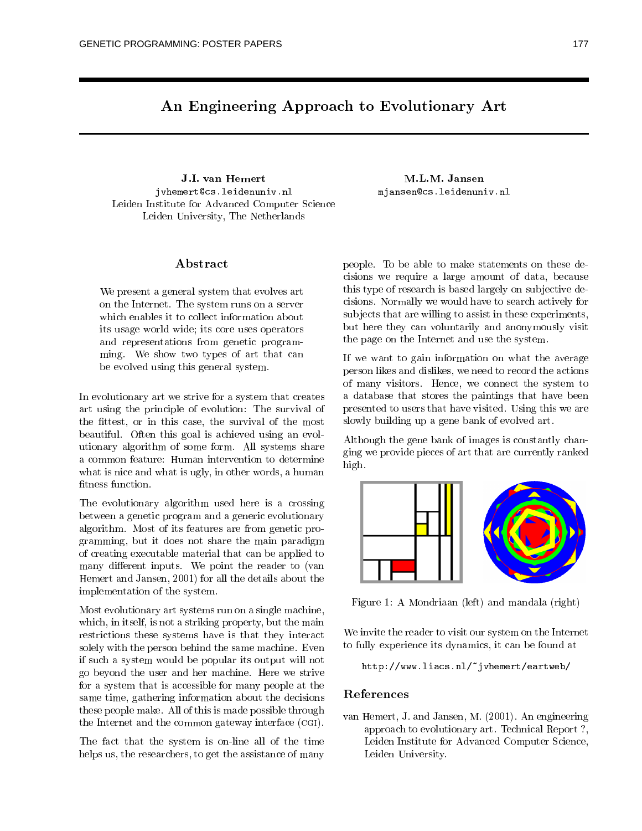## An Engineering Approach to Evolutionary Art

J.I. van Hemert jvhemert@cs.leidenuniv.nl Leiden Institute for Advanced Computer Science Leiden University, The Netherlands

 ${\bf Abstract}$ 

We present a general system that evolves art on the Internet. The system runs on a server which enables it to collect information about its usage world wide; its core uses operators and representations from genetic programming. We show two types of art that can be evolved using this general system.

In evolutionary art we strive for a system that creates art using the principle of evolution: The survival of the fittest, or in this case, the survival of the most beautiful. Often this goal is achieved using an evolutionary algorithm of some form. All systems share a common feature: Human intervention to determine what is nice and what is ugly, in other words, a human fitness function.

The evolutionary algorithm used here is a crossing between a genetic program and a generic evolutionary algorithm. Most of its features are from genetic programming, but it does not share the main paradigm of creating executable material that can be applied to many different inputs. We point the reader to (van Hemert and Jansen, 2001) for all the details about the implementation of the system.

Most evolutionary art systems run on a single machine, which, in itself, is not a striking property, but the main restrictions these systems have is that they interact solely with the person behind the same machine. Even if such a system would be popular its output will not go beyond the user and her machine. Here we strive for a system that is accessible for many people at the<br>same time, at hering information about the decisions. References same time, gathering information about the decisions these people make. All of this is made possible through the Internet and the common gateway interface (cgi).

The fact that the system is on-line all of the time helps us, the researchers, to get the assistance of many

M.L.M. Jansen mjansen@cs.leidenuniv.nl

people. To be able to make statements on these decisions we require a large amount of data, because this type of research is based largely on sub jective decisions. Normally we would have to search actively for subjects that are willing to assist in these experiments, but here they can voluntarily and anonymously visit the page on the Internet and use the system.

If we want to gain information on what the average person likes and dislikes, we need to record the actions of many visitors. Hence, we connect the system to a database that stores the paintings that have been presented to users that have visited. Using this we are slowly building up a gene bank of evolved art.

Although the gene bank of images is constantly changing we provide pieces of art that are currently ranked high.



Figure 1: A Mondriaan (left) and mandala (right)

We invite the reader to visit our system on the Internet to fully experience its dynamics, it can be found at

http://www.liacs.nl/~jvhemert/eartweb/

van Hemert, J. and Jansen, M. (2001). An engineering approach to evolutionary art. Technical Report ?, Leiden Institute for Advanced Computer Science, Leiden University.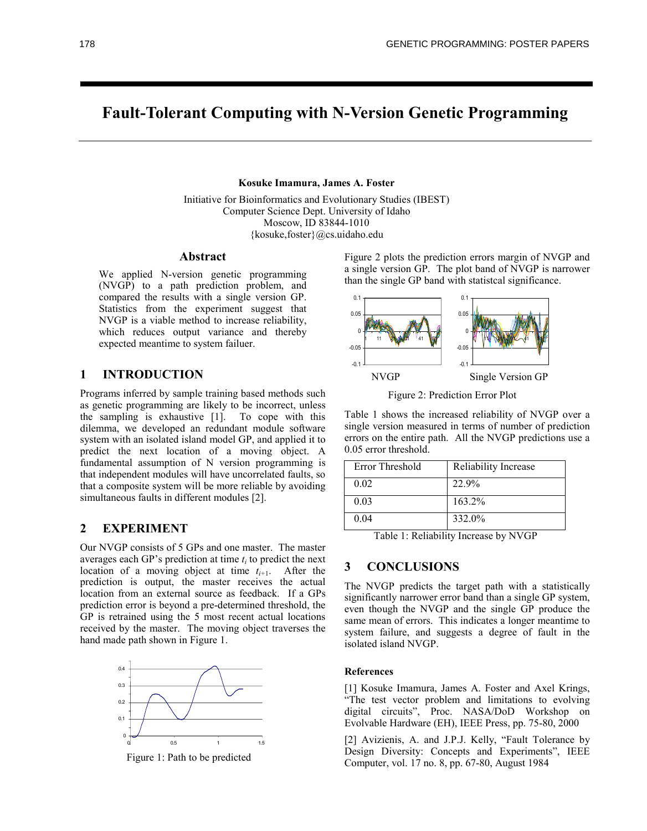## **Fault-Tolerant Computing with N-Version Genetic Programming**

#### **Kosuke Imamura, James A. Foster**

Initiative for Bioinformatics and Evolutionary Studies (IBEST) Computer Science Dept. University of Idaho Moscow, ID 83844-1010 {kosuke,foster}@cs.uidaho.edu

#### **Abstract**

We applied N-version genetic programming (NVGP) to a path prediction problem, and compared the results with a single version GP. Statistics from the experiment suggest that NVGP is a viable method to increase reliability, which reduces output variance and thereby expected meantime to system failuer.

#### **1 INTRODUCTION**

Programs inferred by sample training based methods such as genetic programming are likely to be incorrect, unless the sampling is exhaustive [1]. To cope with this dilemma, we developed an redundant module software system with an isolated island model GP, and applied it to predict the next location of a moving object. A fundamental assumption of N version programming is that independent modules will have uncorrelated faults, so that a composite system will be more reliable by avoiding simultaneous faults in different modules [2].

#### **2 EXPERIMENT**

Our NVGP consists of 5 GPs and one master. The master averages each GP's prediction at time  $t_i$  to predict the next location of a moving object at time  $t_{i+1}$ . After the prediction is output, the master receives the actual location from an external source as feedback. If a GPs prediction error is beyond a pre-determined threshold, the GP is retrained using the 5 most recent actual locations received by the master. The moving object traverses the hand made path shown in Figure 1.



Figure 1: Path to be predicted

Figure 2 plots the prediction errors margin of NVGP and a single version GP. The plot band of NVGP is narrower than the single GP band with statistcal significance.



Figure 2: Prediction Error Plot

Table 1 shows the increased reliability of NVGP over a single version measured in terms of number of prediction errors on the entire path. All the NVGP predictions use a 0.05 error threshold.

| Error Threshold | Reliability Increase |
|-----------------|----------------------|
| 0.02            | 22.9%                |
| 0.03            | 163.2%               |
| 0.04            | 332.0%               |

Table 1: Reliability Increase by NVGP

#### **3 CONCLUSIONS**

The NVGP predicts the target path with a statistically significantly narrower error band than a single GP system, even though the NVGP and the single GP produce the same mean of errors. This indicates a longer meantime to system failure, and suggests a degree of fault in the isolated island NVGP.

#### **References**

[1] Kosuke Imamura, James A. Foster and Axel Krings, "The test vector problem and limitations to evolving digital circuits", Proc. NASA/DoD Workshop on Evolvable Hardware (EH), IEEE Press, pp. 75-80, 2000

[2] Avizienis, A. and J.P.J. Kelly, "Fault Tolerance by Design Diversity: Concepts and Experiments", IEEE Computer, vol. 17 no. 8, pp. 67-80, August 1984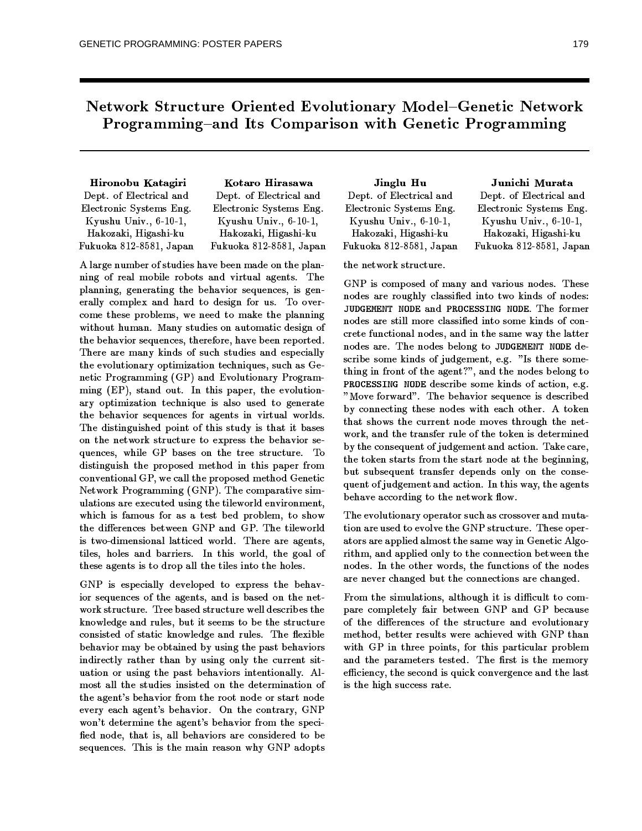Network Structure Oriented Evolutionary Model{Genetic NetworkProgramming{and Its Comparison with Genetic Programming

Hironobu KatagiriDept. of Electrical and Electronic Systems Eng. Kyushu Univ., 6-10-1, Hakozaki, Higashi-ku Fukuoka 812-8581, Japan

Kotaro HirasawaDept. of Electrical and Electronic Systems Eng. Kyushu Univ., 6-10-1, Hakozaki, Higashi-ku Fukuoka 812-8581, Japan

A large number of studies have been made on the planning of real mobile robots and virtual agents. The planning, generating the behavior sequences, is generally complex and hard to design for us. To overcome these problems, we need to make the planning without human. Many studies on automatic design of the behavior sequences, therefore, have been reported. There are many kinds of such studies and especially the evolutionary optimization techniques, such as Genetic Programming (GP) and Evolutionary Programming (EP), stand out. In this paper, the evolutionary optimization technique is also used to generate the behavior sequences for agents in virtual worlds. The distinguished point of this study is that it bases on the network structure to express the behavior sequences, while GP bases on the tree structure. To distinguish the proposed method in this paper from conventional GP, we call the proposed method Genetic Network Programming (GNP). The comparative simulations are executed using the tileworld environment, which is famous for as a test bed problem, to show the differences between GNP and GP. The tileworld is two-dimensional latticed world. There are agents, tiles, holes and barriers. In this world, the goal of these agents is to drop all the tiles into the holes.

GNP is especially developed to express the behavior sequences of the agents, and is based on the network structure. Tree based structure well describes the knowledge and rules, but it seems to be the structure consisted of static knowledge and rules. The flexible behavior may be obtained by using the past behaviors indirectly rather than by using only the current situation or using the past behaviors intentionally. Almost all the studies insisted on the determination of the agent's behavior from the root node or start node every each agent's behavior. On the contrary, GNP won't determine the agent's behavior from the speci fied node, that is, all behaviors are considered to be sequences. This is the main reason why GNP adopts

Jinglu HuDept. of Electrical and Electronic Systems Eng. Kyushu Univ., 6-10-1, Hakozaki, Higashi-ku Fukuoka 812-8581, Japan

the network structure.

GNP is composed of many and various nodes. These nodes are roughly classied into two kinds of nodes: JUDGEMENT NODE and PROCESSING NODE. The former nodes are still more classied into some kinds of concrete functional nodes, and in the same way the latter nodes are. The nodes belong to JUDGEMENT NODE describe some kinds of judgement, e.g. "Is there something in front of the agent?", and the nodes belong to PROCESSING NODE describe some kinds of action, e.g. "Move forward". The behavior sequence is described by connecting these nodes with each other. A token that shows the current node moves through the network, and the transfer rule of the token is determined by the consequent of judgement and action. Take care, the token starts from the start node at the beginning, but subsequent transfer depends only on the consequent of judgement and action. In this way, the agents behave according to the network flow.

The evolutionary operator such as crossover and mutation are used to evolve the GNP structure. These operators are applied almost the same way in Genetic Algorithm, and applied only to the connection between the nodes. In the other words, the functions of the nodes are never changed but the connections are changed.

From the simulations, although it is difficult to compare completely fair between GNP and GP because of the differences of the structure and evolutionary method, better results were achieved with GNP than with GP in three points, for this particular problem and the parameters tested. The first is the memory efficiency, the second is quick convergence and the last is the high success rate.

#### Junichi Murata

Dept. of Electrical and Electronic Systems Eng. Kyushu Univ., 6-10-1, Hakozaki, Higashi-ku Fukuoka 812-8581, Japan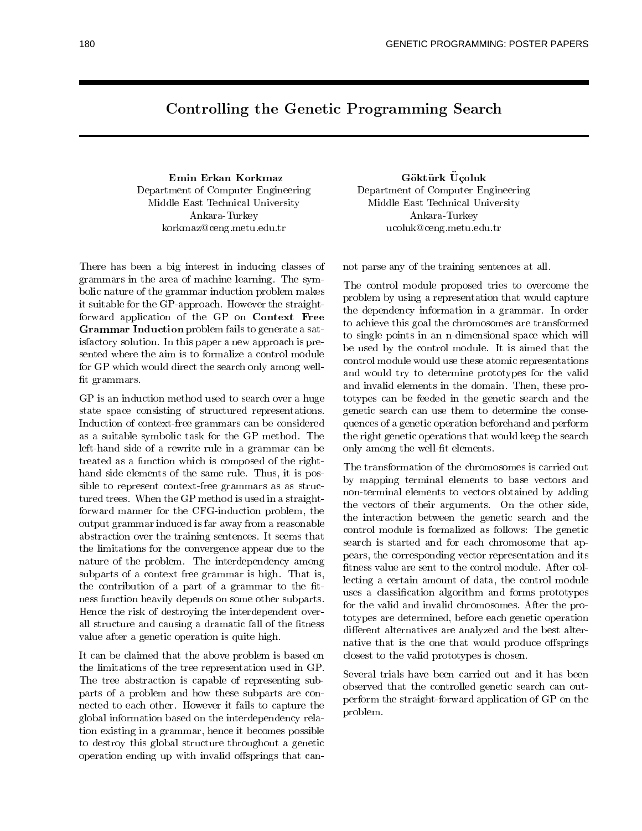## Controlling the Genetic Programming Search Co

Emin Erkan Korkmaz Department of Computer Engineering Middle East Technical University Ankara-Turkey korkmaz@ceng.metu.edu.tr

There has been a big interest in inducing classes of grammars in the area of machine learning. The symbolic nature of the grammar induction problem makes it suitable for the GP-approach. However the straightforward application of the GP on Context Free Grammar Induction problem fails to generate a satisfactory solution. In this paper a new approach is presented where the aim is to formalize a control module for GP which would direct the search only among well fit grammars.

GP is an induction method used to search over a huge state space consisting of structured representations. Induction of context-free grammars can be considered as a suitable symbolic task for the GP method. The left-hand side of a rewrite rule in a grammar can be treated as a function which is composed of the righthand side elements of the same rule. Thus, it is possible to represent context-free grammars as as structured trees. When the GP method is used in a straightforward manner for the CFG-induction problem, the output grammar induced is far away from a reasonable abstraction over the training sentences. It seems that the limitations for the convergence appear due to the nature of the problem. The interdependency among subparts of a context free grammar is high. That is, the contribution of a part of a grammar to the fitness function heavily depends on some other subparts. Hence the risk of destroying the interdependent overall structure and causing a dramatic fall of the fitness value after a genetic operation is quite high.

It can be claimed that the above problem is based on the limitations of the tree representation used in GP. The tree abstraction is capable of representing subparts of a problem and how these subparts are connected to each other. However it fails to capture the perform global information based on the interdependency relation existing in a grammar, hence it becomes possible to destroy this global structure throughout a genetic operation ending up with invalid offsprings that can-

Göktürk Ücoluk Department of Computer Engineering Middle East Technical University Ankara-Turkey ucoluk@ceng.metu.edu.tr

not parse any of the training sentences at all.

The control module proposed tries to overcome the problem by using a representation that would capture the dependency information in a grammar. In order to achieve this goal the chromosomes are transformed to single points in an n-dimensional space which will be used by the control module. It is aimed that the control module would use these atomic representations and would try to determine prototypes for the valid and invalid elements in the domain. Then, these prototypes can be feeded in the genetic search and the genetic search can use them to determine the consequences of a genetic operation beforehand and perform the right genetic operations that would keep the search only among the well-fit elements.

The transformation of the chromosomes is carried out by mapping terminal elements to base vectors and non-terminal elements to vectors obtained by adding the vectors of their arguments. On the other side, the interaction between the genetic search and the control module is formalized as follows: The genetic search is started and for each chromosome that appears, the corresponding vector representation and its fitness value are sent to the control module. After collecting a certain amount of data, the control module uses a classification algorithm and forms prototypes for the valid and invalid chromosomes. After the prototypes are determined, before each genetic operation different alternatives are analyzed and the best alternative that is the one that would produce offsprings closest to the valid prototypes is chosen.

Several trials have been carried out and it has been observed that the controlled genetic search can outperform the straight-forward application of GP on the problem. The contract of the contract of the contract of the contract of the contract of the contract of the contract of the contract of the contract of the contract of the contract of the contract of the contract of the c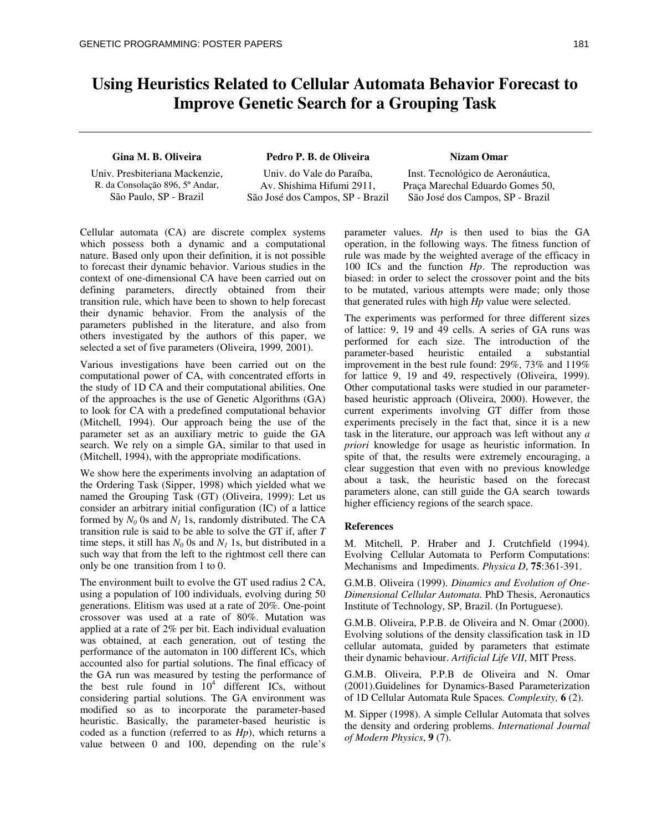## **Using Heuristics Related to Cellular Automata Behavior Forecast to Improve Genetic Search for a Grouping Task**

#### **Gina M. B. Oliveira**

Univ. Presbiteriana Mackenzie, R. da Consolação 896, 5º Andar, São Paulo, SP - Brazil

**Pedro P. B. de Oliveira** 

Univ. do Vale do Paraíba, Av. Shishima Hifumi 2911, São José dos Campos, SP - Brazil

> parameter values. *Hp* is then used to bias the GA operation, in the following ways. The fitness function of rule was made by the weighted average of the efficacy in 100 ICs and the function *Hp*. The reproduction was biased: in order to select the crossover point and the bits

> to be mutated, various attempts were made; only those that generated rules with high *Hp* value were selected.

> The experiments was performed for three different sizes of lattice: 9, 19 and 49 cells. A series of GA runs was performed for each size. The introduction of the parameter-based heuristic entailed a substantial improvement in the best rule found: 29%, 73% and 119% for lattice 9, 19 and 49, respectively (Oliveira, 1999). Other computational tasks were studied in our parameterbased heuristic approach (Oliveira, 2000). However, the current experiments involving GT differ from those experiments precisely in the fact that, since it is a new task in the literature, our approach was left without any *a priori* knowledge for usage as heuristic information. In spite of that, the results were extremely encouraging, a clear suggestion that even with no previous knowledge about a task, the heuristic based on the forecast parameters alone, can still guide the GA search towards higher efficiency regions of the search space.

#### **References**

M. Mitchell, P. Hraber and J. Crutchfield (1994). Evolving Cellular Automata to Perform Computations: Mechanisms and Impediments. *Physica D*, **75**:361-391.

G.M.B. Oliveira (1999). *Dinamics and Evolution of One-Dimensional Cellular Automata.* PhD Thesis, Aeronautics Institute of Technology, SP, Brazil. (In Portuguese).

G.M.B. Oliveira, P.P.B. de Oliveira and N. Omar (2000). Evolving solutions of the density classification task in 1D cellular automata, guided by parameters that estimate their dynamic behaviour. *Artificial Life VII*, MIT Press.

G.M.B. Oliveira, P.P.B de Oliveira and N. Omar (2001).Guidelines for Dynamics-Based Parameterization of 1D Cellular Automata Rule Spaces*. Complexity,* **6** (2).

M. Sipper (1998). A simple Cellular Automata that solves the density and ordering problems. *International Journal of Modern Physics*, **9** (7).

Cellular automata (CA) are discrete complex systems which possess both a dynamic and a computational nature. Based only upon their definition, it is not possible to forecast their dynamic behavior. Various studies in the context of one-dimensional CA have been carried out on defining parameters, directly obtained from their transition rule, which have been to shown to help forecast their dynamic behavior. From the analysis of the parameters published in the literature, and also from others investigated by the authors of this paper, we selected a set of five parameters (Oliveira, 1999*,* 2001).

Various investigations have been carried out on the computational power of CA, with concentrated efforts in the study of 1D CA and their computational abilities. One of the approaches is the use of Genetic Algorithms (GA) to look for CA with a predefined computational behavior (Mitchell*,* 1994). Our approach being the use of the parameter set as an auxiliary metric to guide the GA search. We rely on a simple GA, similar to that used in (Mitchell, 1994), with the appropriate modifications.

We show here the experiments involving an adaptation of the Ordering Task (Sipper, 1998) which yielded what we named the Grouping Task (GT) (Oliveira, 1999): Let us consider an arbitrary initial configuration (IC) of a lattice formed by  $N_0$  0s and  $N_1$  1s, randomly distributed. The CA transition rule is said to be able to solve the GT if, after *T* time steps, it still has  $N_0$  0s and  $N_1$  1s, but distributed in a such way that from the left to the rightmost cell there can only be one transition from 1 to 0.

The environment built to evolve the GT used radius 2 CA, using a population of 100 individuals, evolving during 50 generations. Elitism was used at a rate of 20%. One-point crossover was used at a rate of 80%. Mutation was applied at a rate of 2% per bit. Each individual evaluation was obtained, at each generation, out of testing the performance of the automaton in 100 different ICs, which accounted also for partial solutions. The final efficacy of the GA run was measured by testing the performance of the best rule found in  $10^4$  different ICs, without considering partial solutions. The GA environment was modified so as to incorporate the parameter-based heuristic. Basically, the parameter-based heuristic is coded as a function (referred to as *Hp*), which returns a value between 0 and 100, depending on the rule's

## **Nizam Omar**  Inst. Tecnológico de Aeronáutica,

Praça Marechal Eduardo Gomes 50, São José dos Campos, SP - Brazil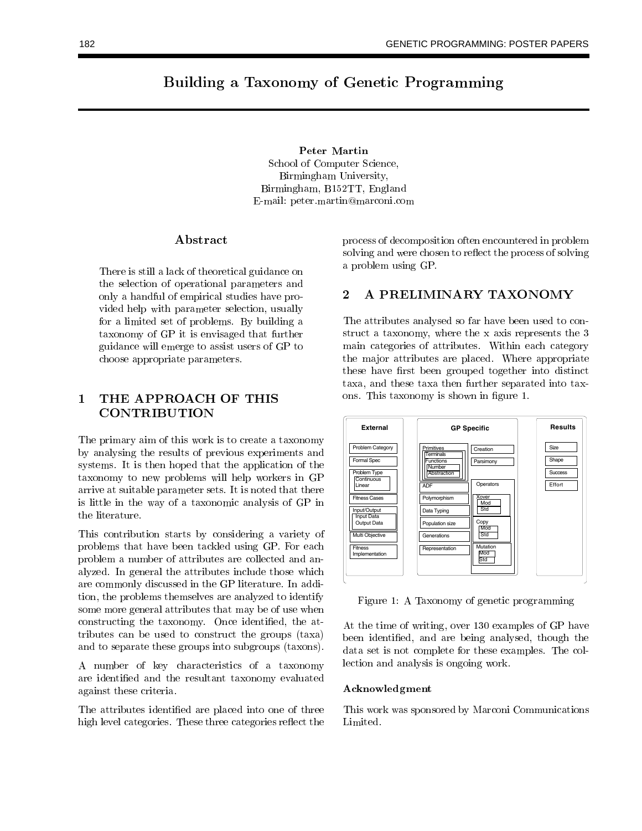## Building <sup>a</sup> Taxonomy of Genetic Programming

Peter Martin School of Computer Science, Birmingham University, Birmingham, B152TT, England E-mail: peter.martin@marconi.com

There is still a lack of theoretical guidance on the selection of operational parameters and only a handful of empirical studies have provided help with parameter selection, usually for a limited set of problems. By building a taxonomy of GP it is envisaged that further guidance will emerge to assist users of GP to choose appropriate parameters.

### $\mathbf{1}$ CONTRIBUTION

The primary aim of this work is to create a taxonomy by analysing the results of previous experiments and systems. It is then hoped that the application of the taxonomy to new problems will help workers in GP arrive at suitable parameter sets. It is noted that there is little in the way of a taxonomic analysis of GP in the literature.

This contribution starts by considering a variety of problems that have been tackled using GP. For each  $\sqrt{\frac{F_{\text{fitness}}}{F_{\text{times}}}}$ problem a number of attributes are collected and analyzed. In general the attributes include those which are commonly discussed in the GP literature. In addition, the problems themselves are analyzed to identify some more general attributes that may be of use when constructing the taxonomy. Once identified, the attributes can be used to construct the groups (taxa) and to separate these groups into subgroups (taxons).

A number of key characteristics of a taxonomy are identified and the resultant taxonomy evaluated against these criteria.

The attributes identified are placed into one of three high level categories. These three categories reflect the process of decomposition often encountered in problem solving and were chosen to reflect the process of solving a problem using GP.

## 2 A PRELIMINARY TAXONOMY

The attributes analysed so far have been used to construct a taxonomy, where the x axis represents the 3 main categories of attributes. Within each category the major attributes are placed. Where appropriate these have first been grouped together into distinct taxa, and these taxa then further separated into taxons. This taxonomy is shown in figure 1.



Figure 1: A Taxonomy of genetic programming

At the time of writing, over 130 examples of GP have been identified, and are being analysed, though the data set is not complete for these examples. The collection and analysis is ongoing work.

#### Acknowledgment

This work was sponsored by Marconi Communications Limited.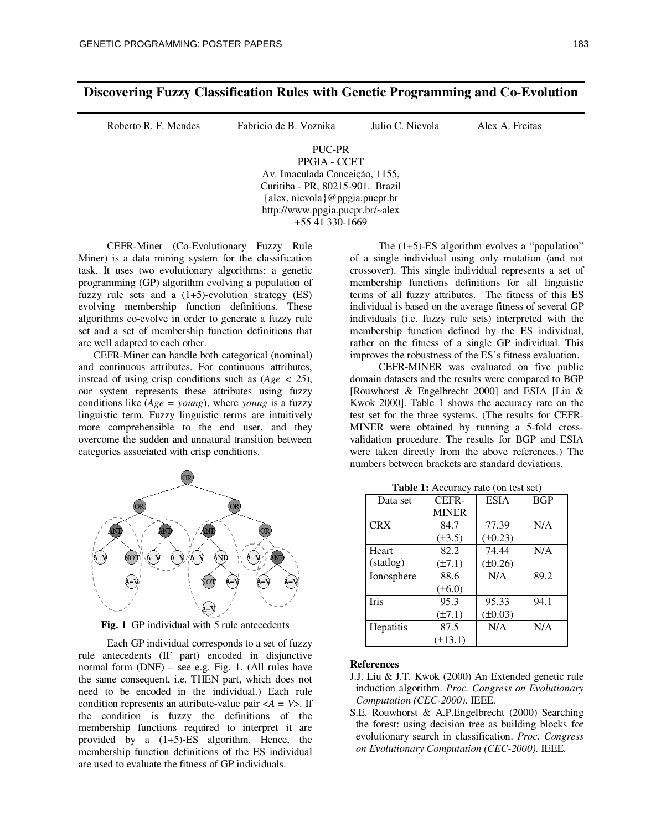## **Discovering Fuzzy Classification Rules with Genetic Programming and Co-Evolution**

| Roberto R. F. Mendes | Fabricio de B. |
|----------------------|----------------|
|                      |                |

Voznika Julio C. Nievola Alex A. Freitas

PUC-PR PPGIA - CCET Av. Imaculada Conceição, 1155, Curitiba - PR, 80215-901. Brazil {alex, nievola}@ppgia.pucpr.br http://www.ppgia.pucpr.br/~alex +55 41 330-1669

CEFR-Miner (Co-Evolutionary Fuzzy Rule Miner) is a data mining system for the classification task. It uses two evolutionary algorithms: a genetic programming (GP) algorithm evolving a population of fuzzy rule sets and a (1+5)-evolution strategy (ES) evolving membership function definitions. These algorithms co-evolve in order to generate a fuzzy rule set and a set of membership function definitions that are well adapted to each other.

CEFR-Miner can handle both categorical (nominal) and continuous attributes. For continuous attributes, instead of using crisp conditions such as (*Age < 25*), our system represents these attributes using fuzzy conditions like (*Age = young*), where *young* is a fuzzy linguistic term. Fuzzy linguistic terms are intuitively more comprehensible to the end user, and they overcome the sudden and unnatural transition between categories associated with crisp conditions.



**Fig. 1** GP individual with 5 rule antecedents

Each GP individual corresponds to a set of fuzzy rule antecedents (IF part) encoded in disjunctive normal form (DNF) – see e.g. Fig. 1. (All rules have the same consequent, i.e. THEN part, which does not need to be encoded in the individual.) Each rule condition represents an attribute-value pair <*A* = *V*>. If the condition is fuzzy the definitions of the membership functions required to interpret it are provided by a (1+5)-ES algorithm. Hence, the membership function definitions of the ES individual are used to evaluate the fitness of GP individuals.

The (1+5)-ES algorithm evolves a "population" of a single individual using only mutation (and not crossover). This single individual represents a set of membership functions definitions for all linguistic terms of all fuzzy attributes. The fitness of this ES individual is based on the average fitness of several GP individuals (i.e. fuzzy rule sets) interpreted with the membership function defined by the ES individual, rather on the fitness of a single GP individual. This improves the robustness of the ES's fitness evaluation.

CEFR-MINER was evaluated on five public domain datasets and the results were compared to BGP [Rouwhorst & Engelbrecht 2000] and ESIA [Liu & Kwok 2000]. Table 1 shows the accuracy rate on the test set for the three systems. (The results for CEFR-MINER were obtained by running a 5-fold crossvalidation procedure. The results for BGP and ESIA were taken directly from the above references.) The numbers between brackets are standard deviations.

| Data set    | CEFR-        | <b>ESIA</b>  | <b>BGP</b> |
|-------------|--------------|--------------|------------|
|             | <b>MINER</b> |              |            |
| <b>CRX</b>  | 84.7         | 77.39        | N/A        |
|             | $(\pm 3.5)$  | $(\pm 0.23)$ |            |
| Heart       | 82.2         | 74.44        | N/A        |
| (statlog)   | $(\pm 7.1)$  | $(\pm 0.26)$ |            |
| Ionosphere  | 88.6         | N/A          | 89.2       |
|             | $(\pm 6.0)$  |              |            |
| <b>Iris</b> | 95.3         | 95.33        | 94.1       |
|             | $(\pm 7.1)$  | $(\pm 0.03)$ |            |
| Hepatitis   | 87.5         | N/A          | N/A        |
|             | $(\pm 13.1)$ |              |            |

**Table 1:** Accuracy rate (on test set)

#### **References**

- J.J. Liu & J.T. Kwok (2000) An Extended genetic rule induction algorithm. *Proc. Congress on Evolutionary Computation (CEC-2000)*. IEEE.
- S.E. Rouwhorst & A.P.Engelbrecht (2000) Searching the forest: using decision tree as building blocks for evolutionary search in classification. *Proc. Congress on Evolutionary Computation (CEC-2000)*. IEEE.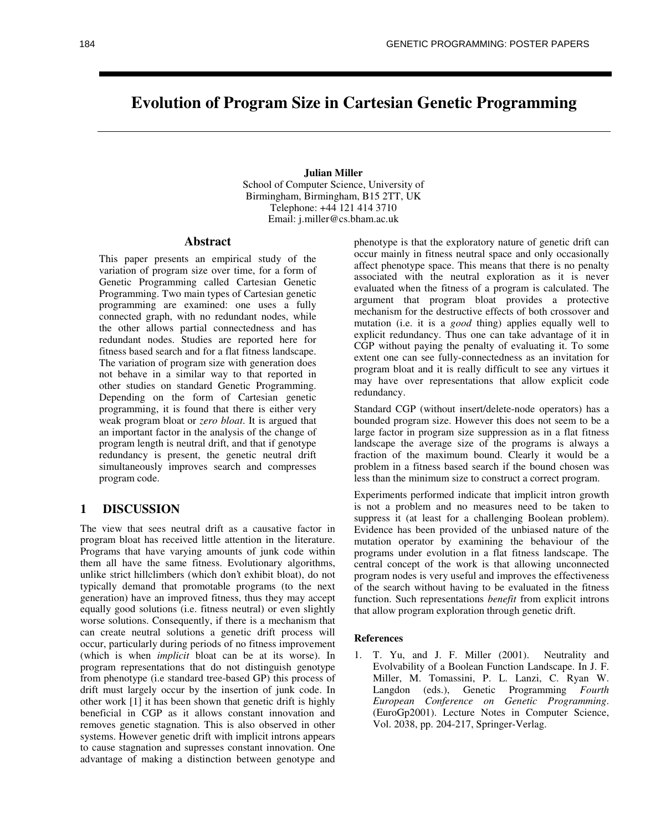## **Evolution of Program Size in Cartesian Genetic Programming**

**Julian Miller** School of Computer Science, University of Birmingham, Birmingham, B15 2TT, UK Telephone: +44 121 414 3710 Email: j.miller@cs.bham.ac.uk

#### **Abstract**

This paper presents an empirical study of the variation of program size over time, for a form of Genetic Programming called Cartesian Genetic Programming. Two main types of Cartesian genetic programming are examined: one uses a fully connected graph, with no redundant nodes, while the other allows partial connectedness and has redundant nodes. Studies are reported here for fitness based search and for a flat fitness landscape. The variation of program size with generation does not behave in a similar way to that reported in other studies on standard Genetic Programming. Depending on the form of Cartesian genetic programming, it is found that there is either very weak program bloat or *zero bloat*. It is argued that an important factor in the analysis of the change of program length is neutral drift, and that if genotype redundancy is present, the genetic neutral drift simultaneously improves search and compresses program code.

#### **1 DISCUSSION**

The view that sees neutral drift as a causative factor in program bloat has received little attention in the literature. Programs that have varying amounts of junk code within them all have the same fitness. Evolutionary algorithms, unlike strict hillclimbers (which don't exhibit bloat), do not typically demand that promotable programs (to the next generation) have an improved fitness, thus they may accept equally good solutions (i.e. fitness neutral) or even slightly worse solutions. Consequently, if there is a mechanism that can create neutral solutions a genetic drift process will occur, particularly during periods of no fitness improvement (which is when *implicit* bloat can be at its worse). In program representations that do not distinguish genotype from phenotype (i.e standard tree-based GP) this process of drift must largely occur by the insertion of junk code. In other work [1] it has been shown that genetic drift is highly beneficial in CGP as it allows constant innovation and removes genetic stagnation. This is also observed in other systems. However genetic drift with implicit introns appears to cause stagnation and supresses constant innovation. One advantage of making a distinction between genotype and

phenotype is that the exploratory nature of genetic drift can occur mainly in fitness neutral space and only occasionally affect phenotype space. This means that there is no penalty associated with the neutral exploration as it is never evaluated when the fitness of a program is calculated. The argument that program bloat provides a protective mechanism for the destructive effects of both crossover and mutation (i.e. it is a *good* thing) applies equally well to explicit redundancy. Thus one can take advantage of it in CGP without paying the penalty of evaluating it. To some extent one can see fully-connectedness as an invitation for program bloat and it is really difficult to see any virtues it may have over representations that allow explicit code redundancy.

Standard CGP (without insert/delete-node operators) has a bounded program size. However this does not seem to be a large factor in program size suppression as in a flat fitness landscape the average size of the programs is always a fraction of the maximum bound. Clearly it would be a problem in a fitness based search if the bound chosen was less than the minimum size to construct a correct program.

Experiments performed indicate that implicit intron growth is not a problem and no measures need to be taken to suppress it (at least for a challenging Boolean problem). Evidence has been provided of the unbiased nature of the mutation operator by examining the behaviour of the programs under evolution in a flat fitness landscape. The central concept of the work is that allowing unconnected program nodes is very useful and improves the effectiveness of the search without having to be evaluated in the fitness function. Such representations *benefit* from explicit introns that allow program exploration through genetic drift.

#### **References**

1. T. Yu, and J. F. Miller (2001). Neutrality and Evolvability of a Boolean Function Landscape. In J. F. Miller, M. Tomassini, P. L. Lanzi, C. Ryan W. Langdon (eds.), Genetic Programming *Fourth European Conference on Genetic Programming*. (EuroGp2001). Lecture Notes in Computer Science, Vol. 2038, pp. 204-217, Springer-Verlag.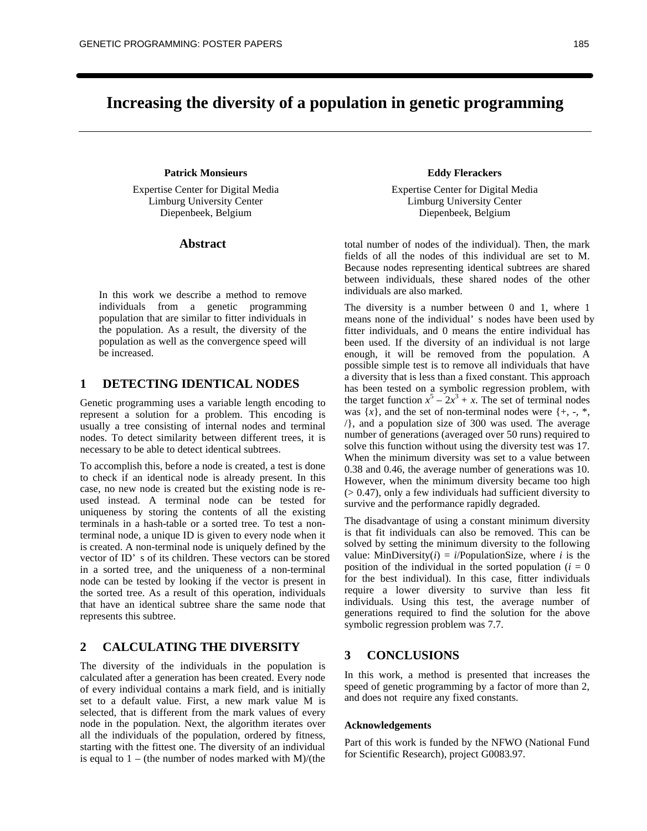## **Increasing the diversity of a population in genetic programming**

#### **Patrick Monsieurs**

Expertise Center for Digital Media Limburg University Center Diepenbeek, Belgium

#### **Abstract**

In this work we describe a method to remove individuals from a genetic programming population that are similar to fitter individuals in the population. As a result, the diversity of the population as well as the convergence speed will be increased.

#### **1 DETECTING IDENTICAL NODES**

Genetic programming uses a variable length encoding to represent a solution for a problem. This encoding is usually a tree consisting of internal nodes and terminal nodes. To detect similarity between different trees, it is necessary to be able to detect identical subtrees.

To accomplish this, before a node is created, a test is done to check if an identical node is already present. In this case, no new node is created but the existing node is reused instead. A terminal node can be tested for uniqueness by storing the contents of all the existing terminals in a hash-table or a sorted tree. To test a nonterminal node, a unique ID is given to every node when it is created. A non-terminal node is uniquely defined by the vector of ID's of its children. These vectors can be stored in a sorted tree, and the uniqueness of a non-terminal node can be tested by looking if the vector is present in the sorted tree. As a result of this operation, individuals that have an identical subtree share the same node that represents this subtree.

## **2 CALCULATING THE DIVERSITY**

The diversity of the individuals in the population is calculated after a generation has been created. Every node of every individual contains a mark field, and is initially set to a default value. First, a new mark value M is selected, that is different from the mark values of every node in the population. Next, the algorithm iterates over all the individuals of the population, ordered by fitness, starting with the fittest one. The diversity of an individual is equal to  $1 -$  (the number of nodes marked with M)/(the

#### **Eddy Flerackers**

Expertise Center for Digital Media Limburg University Center Diepenbeek, Belgium

total number of nodes of the individual). Then, the mark fields of all the nodes of this individual are set to M. Because nodes representing identical subtrees are shared between individuals, these shared nodes of the other individuals are also marked.

The diversity is a number between 0 and 1, where 1 means none of the individual's nodes have been used by fitter individuals, and 0 means the entire individual has been used. If the diversity of an individual is not large enough, it will be removed from the population. A possible simple test is to remove all individuals that have a diversity that is less than a fixed constant. This approach has been tested on a symbolic regression problem, with the target function  $x^5 - 2x^3 + x$ . The set of terminal nodes was  $\{x\}$ , and the set of non-terminal nodes were  $\{+, -, *,$ /}, and a population size of 300 was used. The average number of generations (averaged over 50 runs) required to solve this function without using the diversity test was 17. When the minimum diversity was set to a value between 0.38 and 0.46, the average number of generations was 10. However, when the minimum diversity became too high  $(0.47)$ , only a few individuals had sufficient diversity to survive and the performance rapidly degraded.

The disadvantage of using a constant minimum diversity is that fit individuals can also be removed. This can be solved by setting the minimum diversity to the following value: MinDiversity( $i$ ) =  $i$ /PopulationSize, where  $i$  is the position of the individual in the sorted population  $(i = 0)$ for the best individual). In this case, fitter individuals require a lower diversity to survive than less fit individuals. Using this test, the average number of generations required to find the solution for the above symbolic regression problem was 7.7.

#### **3 CONCLUSIONS**

In this work, a method is presented that increases the speed of genetic programming by a factor of more than 2, and does not require any fixed constants.

#### **Acknowledgements**

Part of this work is funded by the NFWO (National Fund for Scientific Research), project G0083.97.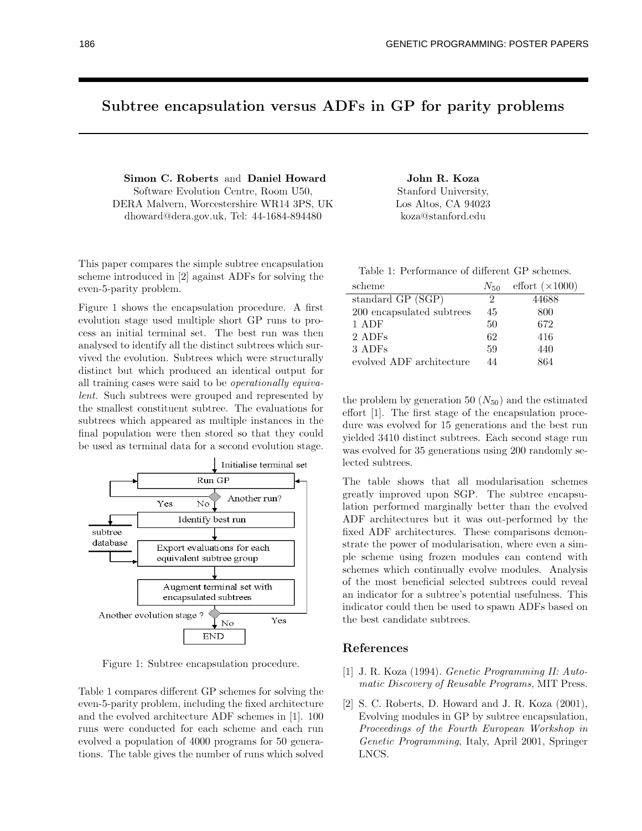## Subtree encapsulation versus ADFs in GP for parity problems

Simon C. Roberts and Daniel Howard Software Evolution Centre, Room U50, DERA Malvern, Worcestershire WR14 3PS, UK dhoward@dera.gov.uk, Tel: 44-1684-894480

This paper compares the simple subtree encapsulation scheme introduced in [2] against ADFs for solving the even-5-parity problem.

Figure 1 shows the encapsulation procedure. A first evolution stage used multiple short GP runs to process an initial terminal set. The best run was then analysed to identify all the distinct subtrees which survived the evolution. Subtrees which were structurally distinct but which produced an identical output for all training cases were said to be *operationally equivalent.* Such subtrees were grouped and represented by the smallest constituent subtree. The evaluations for subtrees which appeared as multiple instances in the final population were then stored so that they could be used as terminal data for a second evolution stage.



Figure 1: Subtree encapsulation procedure.

Table 1 compares different GP schemes for solving the even-5-parity problem, including the fixed architecture and the evolved architecture ADF schemes in [1]. 100 runs were conducted for each scheme and each run evolved a population of 4000 programs for 50 generations. The table gives the number of runs which solved

#### John R. Koza

Stanford University, Los Altos, CA 94023 koza@stanford.edu

Table 1: Performance of different GP schemes.

| scheme                                | $N_{50}$ | effort $(\times 1000)$ |
|---------------------------------------|----------|------------------------|
| standard $\overline{\text{GP (SGP)}}$ | 9.       | 44688                  |
| 200 encapsulated subtrees             | 45       | 800                    |
| 1 ADF                                 | 50       | 672                    |
| 2 ADF <sub>s</sub>                    | 62       | 416                    |
| 3 ADF <sub>s</sub>                    | 59       | 440                    |
| evolved ADF architecture              | 44       | 864                    |

the problem by generation 50  $(N_{50})$  and the estimated effort [1]. The first stage of the encapsulation procedure was evolved for 15 generations and the best run yielded 3410 distinct subtrees. Each second stage run was evolved for 35 generations using 200 randomly selected subtrees.

The table shows that all modularisation schemes greatly improved upon SGP. The subtree encapsulation performed marginally better than the evolved ADF architectures but it was out-performed by the fixed ADF architectures. These comparisons demonstrate the power of modularisation, where even a simple scheme using frozen modules can contend with schemes which continually evolve modules. Analysis of the most beneficial selected subtrees could reveal an indicator for a subtree's potential usefulness. This indicator could then be used to spawn ADFs based on the best candidate subtrees.

#### References

- [1] J. R. Koza (1994). *Genetic Programming II: Auto*matic Discovery of Reusable Programs, MIT Press.
- [2] S. C. Roberts, D. Howard and J. R. Koza  $(2001)$ , Evolving modules in GP by subtree encapsulation, Proceedings of the Fourth European Workshop in *Genetic Programming*, Italy, April 2001, Springer LNCS.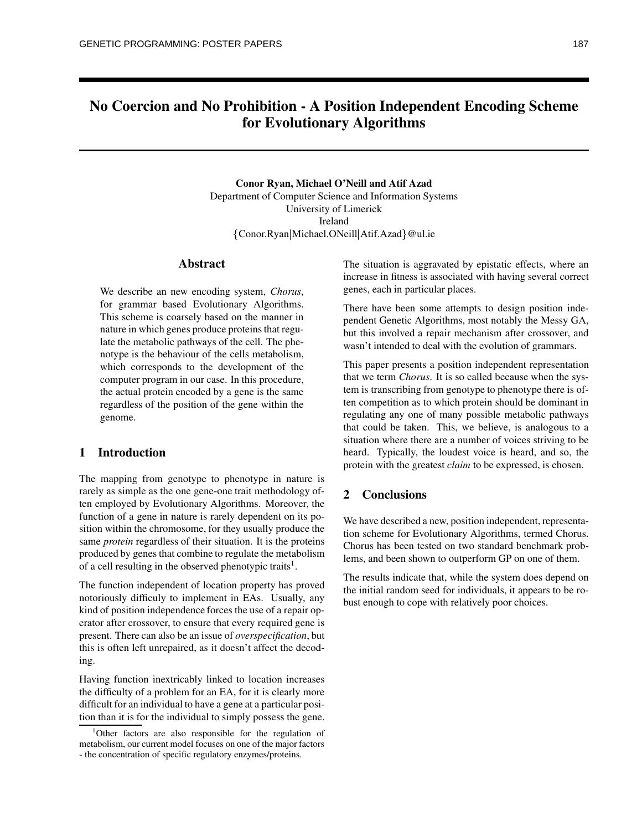## **No Coercion and No Prohibition - A Position Independent Encoding Scheme for Evolutionary Algorithms**

#### **Conor Ryan, Michael O'Neill and Atif Azad**

Department of Computer Science and Information Systems University of Limerick Ireland {Conor.Ryan|Michael.ONeill|Atif.Azad}@ul.ie

#### **Abstract**

We describe an new encoding system, *Chorus*, for grammar based Evolutionary Algorithms. This scheme is coarsely based on the manner in nature in which genes produce proteins that regulate the metabolic pathways of the cell. The phenotype is the behaviour of the cells metabolism, which corresponds to the development of the computer program in our case. In this procedure, the actual protein encoded by a gene is the same regardless of the position of the gene within the genome.

### **1 Introduction**

The mapping from genotype to phenotype in nature is rarely as simple as the one gene-one trait methodology often employed by Evolutionary Algorithms. Moreover, the function of a gene in nature is rarely dependent on its position within the chromosome, for they usually produce the same *protein* regardless of their situation. It is the proteins produced by genes that combine to regulate the metabolism of a cell resulting in the observed phenotypic traits<sup>1</sup>.

The function independent of location property has proved notoriously difficuly to implement in EAs. Usually, any kind of position independence forces the use of a repair operator after crossover, to ensure that every required gene is present. There can also be an issue of *overspecification*, but this is often left unrepaired, as it doesn't affect the decoding.

Having function inextricably linked to location increases the difficulty of a problem for an EA, for it is clearly more difficult for an individual to have a gene at a particular position than it is for the individual to simply possess the gene. The situation is aggravated by epistatic effects, where an increase in fitness is associated with having several correct genes, each in particular places.

There have been some attempts to design position independent Genetic Algorithms, most notably the Messy GA, but this involved a repair mechanism after crossover, and wasn't intended to deal with the evolution of grammars.

This paper presents a position independent representation that we term *Chorus*. It is so called because when the system is transcribing from genotype to phenotype there is often competition as to which protein should be dominant in regulating any one of many possible metabolic pathways that could be taken. This, we believe, is analogous to a situation where there are a number of voices striving to be heard. Typically, the loudest voice is heard, and so, the protein with the greatest *claim* to be expressed, is chosen.

#### **2 Conclusions**

We have described a new, position independent, representation scheme for Evolutionary Algorithms, termed Chorus. Chorus has been tested on two standard benchmark problems, and been shown to outperform GP on one of them.

The results indicate that, while the system does depend on the initial random seed for individuals, it appears to be robust enough to cope with relatively poor choices.

<sup>&</sup>lt;sup>1</sup>Other factors are also responsible for the regulation of metabolism, our current model focuses on one of the major factors - the concentration of specific regulatory enzymes/proteins.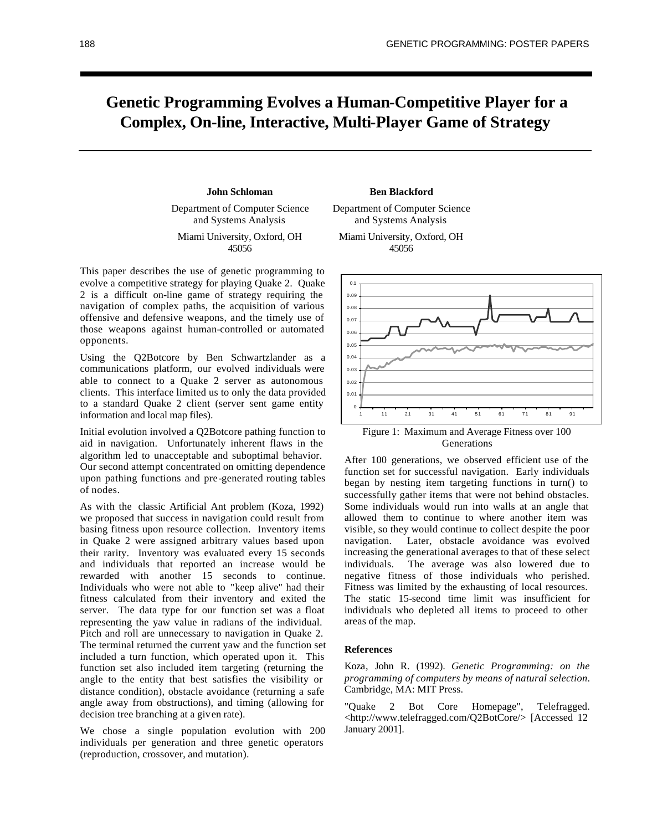# **Genetic Programming Evolves a Human-Competitive Player for a Complex, On-line, Interactive, Multi-Player Game of Strategy**

**John Schloman**

Department of Computer Science and Systems Analysis

Miami University, Oxford, OH 45056

This paper describes the use of genetic programming to evolve a competitive strategy for playing Quake 2. Quake 2 is a difficult on-line game of strategy requiring the navigation of complex paths, the acquisition of various offensive and defensive weapons, and the timely use of those weapons against human-controlled or automated opponents.

Using the Q2Botcore by Ben Schwartzlander as a communications platform, our evolved individuals were able to connect to a Quake 2 server as autonomous clients. This interface limited us to only the data provided to a standard Quake 2 client (server sent game entity information and local map files).

Initial evolution involved a Q2Botcore pathing function to aid in navigation. Unfortunately inherent flaws in the algorithm led to unacceptable and suboptimal behavior. Our second attempt concentrated on omitting dependence upon pathing functions and pre-generated routing tables of nodes.

As with the classic Artificial Ant problem (Koza, 1992) we proposed that success in navigation could result from basing fitness upon resource collection. Inventory items in Quake 2 were assigned arbitrary values based upon their rarity. Inventory was evaluated every 15 seconds and individuals that reported an increase would be rewarded with another 15 seconds to continue. Individuals who were not able to "keep alive" had their fitness calculated from their inventory and exited the server. The data type for our function set was a float representing the yaw value in radians of the individual. Pitch and roll are unnecessary to navigation in Quake 2. The terminal returned the current yaw and the function set included a turn function, which operated upon it. This function set also included item targeting (returning the angle to the entity that best satisfies the visibility or distance condition), obstacle avoidance (returning a safe angle away from obstructions), and timing (allowing for decision tree branching at a given rate).

We chose a single population evolution with 200 individuals per generation and three genetic operators (reproduction, crossover, and mutation).

#### **Ben Blackford**

Department of Computer Science and Systems Analysis

Miami University, Oxford, OH 45056



Figure 1: Maximum and Average Fitness over 100 Generations

After 100 generations, we observed efficient use of the function set for successful navigation. Early individuals began by nesting item targeting functions in turn() to successfully gather items that were not behind obstacles. Some individuals would run into walls at an angle that allowed them to continue to where another item was visible, so they would continue to collect despite the poor navigation. Later, obstacle avoidance was evolved increasing the generational averages to that of these select individuals. The average was also lowered due to negative fitness of those individuals who perished. Fitness was limited by the exhausting of local resources. The static 15-second time limit was insufficient for individuals who depleted all items to proceed to other areas of the map.

#### **References**

Koza, John R. (1992). *Genetic Programming: on the programming of computers by means of natural selection*. Cambridge, MA: MIT Press.

"Quake 2 Bot Core Homepage", Telefragged. <http://www.telefragged.com/Q2BotCore/> [Accessed 12 January 2001].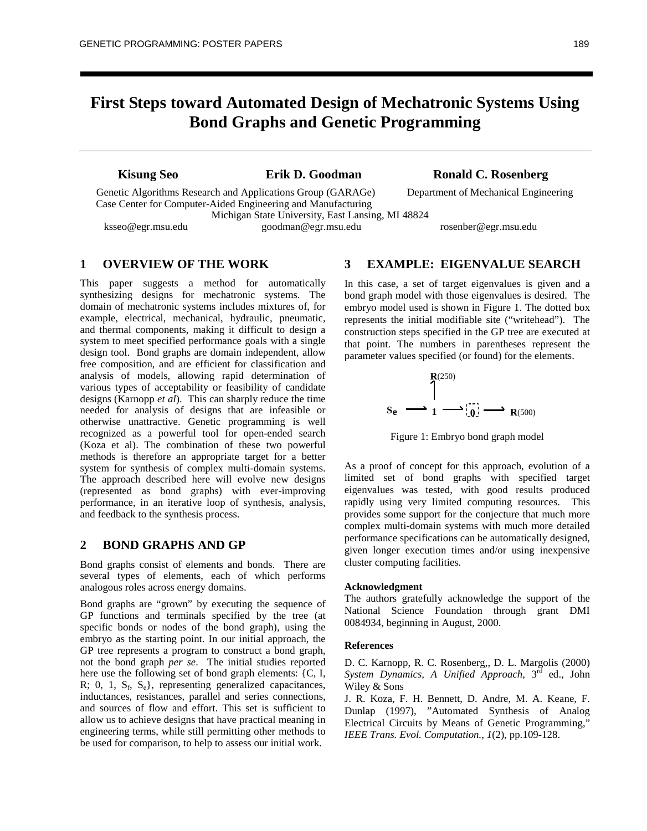# **First Steps toward Automated Design of Mechatronic Systems Using Bond Graphs and Genetic Programming**

**Kisung Seo Erik D. Goodman Ronald C. Rosenberg**

Genetic Algorithms Research and Applications Group (GARAGe) Department of Mechanical Engineering Case Center for Computer-Aided Engineering and Manufacturing Michigan State University, East Lansing, MI 48824

ksseo@egr.msu.edu goodman@egr.msu.edu rosenber@egr.msu.edu

#### **1 OVERVIEW OF THE WORK**

This paper suggests a method for automatically synthesizing designs for mechatronic systems. The domain of mechatronic systems includes mixtures of, for example, electrical, mechanical, hydraulic, pneumatic, and thermal components, making it difficult to design a system to meet specified performance goals with a single design tool. Bond graphs are domain independent, allow free composition, and are efficient for classification and analysis of models, allowing rapid determination of various types of acceptability or feasibility of candidate designs (Karnopp *et al*). This can sharply reduce the time needed for analysis of designs that are infeasible or otherwise unattractive. Genetic programming is well recognized as a powerful tool for open-ended search (Koza et al). The combination of these two powerful methods is therefore an appropriate target for a better system for synthesis of complex multi-domain systems. The approach described here will evolve new designs (represented as bond graphs) with ever-improving performance, in an iterative loop of synthesis, analysis, and feedback to the synthesis process.

#### **2 BOND GRAPHS AND GP**

Bond graphs consist of elements and bonds. There are several types of elements, each of which performs analogous roles across energy domains.

Bond graphs are "grown" by executing the sequence of GP functions and terminals specified by the tree (at specific bonds or nodes of the bond graph), using the embryo as the starting point. In our initial approach, the GP tree represents a program to construct a bond graph, not the bond graph *per se*. The initial studies reported here use the following set of bond graph elements: {C, I, R; 0, 1,  $S_f$ ,  $S_e$ }, representing generalized capacitances, inductances, resistances, parallel and series connections, and sources of flow and effort. This set is sufficient to allow us to achieve designs that have practical meaning in engineering terms, while still permitting other methods to be used for comparison, to help to assess our initial work.

#### **3 EXAMPLE: EIGENVALUE SEARCH**

In this case, a set of target eigenvalues is given and a bond graph model with those eigenvalues is desired. The embryo model used is shown in Figure 1. The dotted box represents the initial modifiable site ("writehead"). The construction steps specified in the GP tree are executed at that point. The numbers in parentheses represent the parameter values specified (or found) for the elements.



Figure 1: Embryo bond graph model

As a proof of concept for this approach, evolution of a limited set of bond graphs with specified target eigenvalues was tested, with good results produced rapidly using very limited computing resources. This provides some support for the conjecture that much more complex multi-domain systems with much more detailed performance specifications can be automatically designed, given longer execution times and/or using inexpensive cluster computing facilities.

#### **Acknowledgment**

The authors gratefully acknowledge the support of the National Science Foundation through grant DMI 0084934, beginning in August, 2000.

#### **References**

D. C. Karnopp, R. C. Rosenberg,, D. L. Margolis (2000) System Dynamics, A Unified Approach, 3<sup>rd</sup> ed., John Wiley & Sons

J. R. Koza, F. H. Bennett, D. Andre, M. A. Keane, F. Dunlap (1997), "Automated Synthesis of Analog Electrical Circuits by Means of Genetic Programming," *IEEE Trans. Evol. Computation.*, *1*(2), pp.109-128.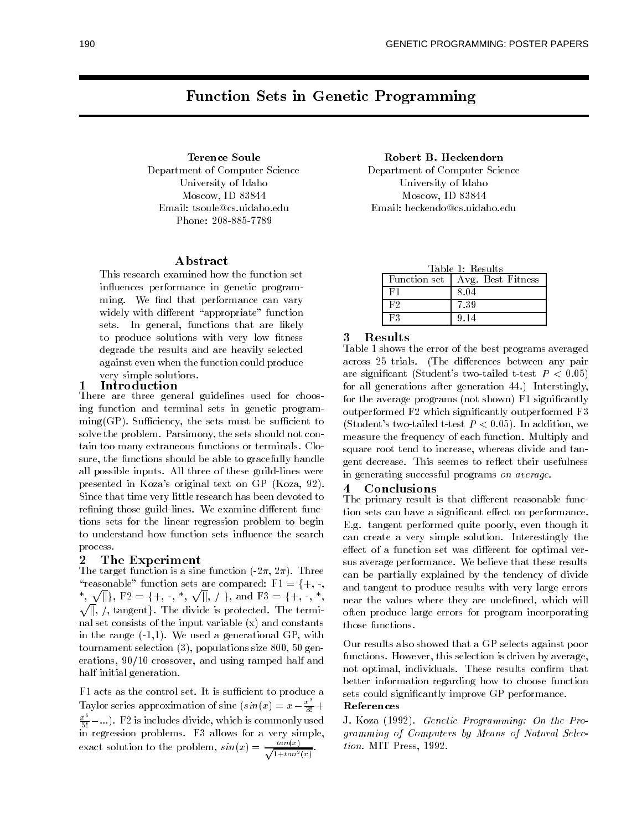## Function Sets in Genetic Programming

Terence Soule Department of Computer Science University of Idaho Moscow, ID 83844 Email: tsoule@cs.uidaho.edu Phone: 208-885-7789

#### Abstract

This research examined how the function set influences performance in genetic programming. We find that performance can vary widely with different "appropriate" function sets. In general, functions that are likely to produce solutions with very low fitness degrade the results and are heavily selected against even when the function could produce very simple solutions.

#### $\mathbf{1}$ **Introduction**

There are three general guidelines used for choosing function and terminal sets in genetic program- $\text{ming}(\text{GP})$ . Sufficiency, the sets must be sufficient to solve the problem. Parsimony, the sets should not contain too many extraneous functions or terminals. Closure, the functions should be able to gracefully handle all possible inputs. All three of these guild-lines were presented in Koza's original text on GP (Koza, 92). Since that time very little research has been devoted to refining those guild-lines. We examine different functions sets for the linear regression problem to begin to understand how function sets influence the search process.

#### $\overline{2}$ The Experiment

The target function is a sine function  $(-2\pi, 2\pi)$ . Three "reasonable" function sets are compared:  $F1 = \{+, -,$ \*,  $\sqrt{||}$ , F2 = {+, -, \*,  $\sqrt{||}$ , / }, and F3 = {+, -, \*,  $\sqrt{||}$ , /, tangent}. The divide is protected. The terminal set consists of the input variable (x) and constants in the range (-1,1). We used a generational GP, with tournament selection (3), populations size 800, 50 generations,  $90/10$  crossover, and using ramped half and half initial generation.

F1 acts as the control set. It is sufficient to produce a Taylor series approximation of sine  $(sin(x) = x - \frac{x^2}{3!} + \cdots)$  $\frac{x^2}{5!}$  –...). F2 is includes divide, which is commonly used in regression problems. F3 allows for a very simple, exact solution to the problem,  $sin(x) = \frac{tan(x)}{\sqrt{1 + tan^2(x)}}$ .

Robert B. Heckendorn Department of Computer Science University of Idaho

Moscow, ID 83844 Email: heckendo@cs.uidaho.edu

| Table 1: Results |                                  |  |
|------------------|----------------------------------|--|
|                  | Function set   Avg. Best Fitness |  |
| F 1              | 8.04                             |  |
| F2               | 7.39                             |  |
| F3               | 9 1 4                            |  |

#### 3 Results

Table 1 shows the error of the best programs averaged across 25 trials. (The differences between any pair are significant (Student's two-tailed t-test  $P < 0.05$ ) for all generations after generation 44.) Interstingly, for the average programs (not shown) F1 significantly outperformed F2 which signicantly outperformed F3 (Student's two-tailed t-test  $P < 0.05$ ). In addition, we measure the frequency of each function. Multiply and square root tend to increase, whereas divide and tangent decrease. This seemes to reflect their usefulness in generating successful programs on average.

#### $\overline{\mathbf{4}}$

The primary result is that different reasonable function sets can have a significant effect on performance. E.g. tangent performed quite poorly, even though it can create a very simple solution. Interestingly the effect of a function set was different for optimal versus average performance. We believe that these results can be partially explained by the tendency of divide and tangent to produce results with very large errors near the values where they are undefined, which will often produce large errors for program incorporating those functions.

Our results also showed that a GP selects against poor functions. However, this selection is driven by average, not optimal, individuals. These results confirm that better information regarding how to choose function sets could signicantly improve GP performance. References

J. Koza (1992). Genetic Programming: On the Programming of Computers by Means of Natural Selection. MIT Press, 1992.